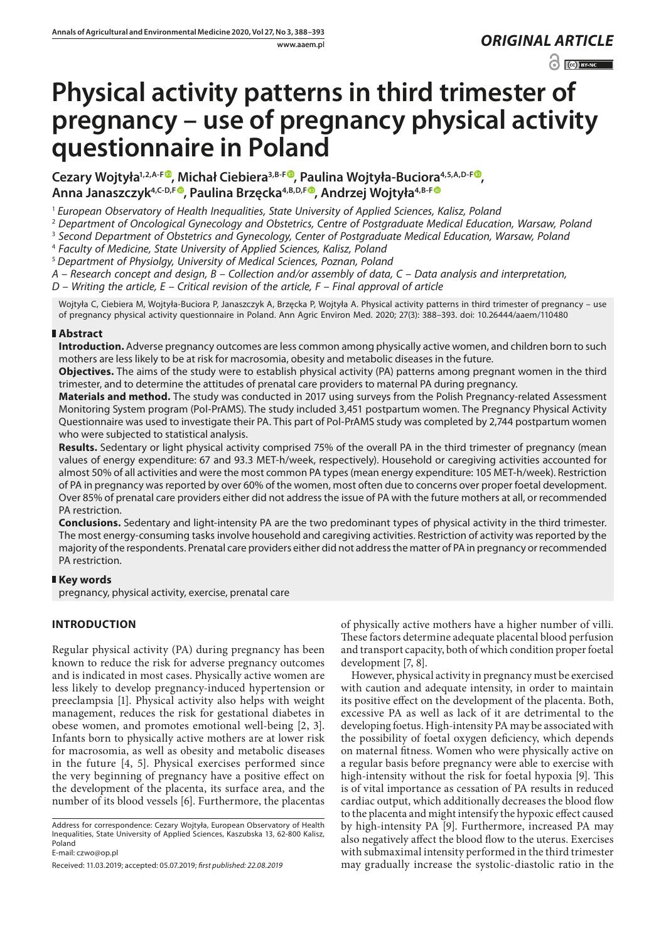www.aaem.pl *ORIGINAL [ARTICLE](http://creativecommons.org/licenses/by-nc/3.0/pl/deed.en)* 

 $\odot$   $\odot$  BY-NC

# **Physical activity patterns in third trimester of pregnancy – use of pregnancy physical activity questionnaire in Poland**

**Cezary Wojtyła1,2,A-F [,](https://orcid.org/0000-0002-1249-1893) Michał Ciebiera3,B-F [,](https://orcid.org/0000-0001-5780-5983) Paulina Wojtyła-Buciora4,5,A,D-F , Anna Janaszczyk4,C-D,F , Paulina Brzęcka4,B,D,F [,](https://orcid.org/0000-0002-9331-5567) Andrzej Wojtyła4,B-F**

<sup>1</sup> *European Observatory of Health Inequalities, State University of Applied Sciences, Kalisz, Poland*

2  *Department of Oncological Gynecology and Obstetrics, Centre of Postgraduate Medical Education, Warsaw, Poland*

3  *Second Department of Obstetrics and Gynecology, Center of Postgraduate Medical Education, Warsaw, Poland*

4  *Faculty of Medicine, State University of Applied Sciences, Kalisz, Poland*

<sup>5</sup> *Department of Physiolgy, University of Medical Sciences, Poznan, Poland*

*A – Research concept and design, B – Collection and/or assembly of data, C – Data analysis and interpretation,* 

*D – Writing the article, E – Critical revision of the article, F – Final approval of article*

Wojtyła C, Ciebiera M, Wojtyła-Buciora P, Janaszczyk A, Brzęcka P, Wojtyła A. Physical activity patterns in third trimester of pregnancy – use of pregnancy physical activity questionnaire in Poland. Ann Agric Environ Med. 2020; 27(3): 388–393. doi: 10.26444/aaem/110480

### **Abstract**

**Introduction.** Adverse pregnancy outcomes are less common among physically active women, and children born to such mothers are less likely to be at risk for macrosomia, obesity and metabolic diseases in the future.

**Objectives.** The aims of the study were to establish physical activity (PA) patterns among pregnant women in the third trimester, and to determine the attitudes of prenatal care providers to maternal PA during pregnancy.

**Materials and method.** The study was conducted in 2017 using surveys from the Polish Pregnancy-related Assessment Monitoring System program (Pol-PrAMS). The study included 3,451 postpartum women. The Pregnancy Physical Activity Questionnaire was used to investigate their PA. This part of Pol-PrAMS study was completed by 2,744 postpartum women who were subjected to statistical analysis.

**Results.** Sedentary or light physical activity comprised 75% of the overall PA in the third trimester of pregnancy (mean values of energy expenditure: 67 and 93.3 MET-h/week, respectively). Household or caregiving activities accounted for almost 50% of all activities and were the most common PA types (mean energy expenditure: 105 MET-h/week). Restriction of PA in pregnancy was reported by over 60% of the women, most often due to concerns over proper foetal development. Over 85% of prenatal care providers either did not address the issue of PA with the future mothers at all, or recommended PA restriction.

**Conclusions.** Sedentary and light-intensity PA are the two predominant types of physical activity in the third trimester. The most energy-consuming tasks involve household and caregiving activities. Restriction of activity was reported by the majority of the respondents. Prenatal care providers either did not address the matter of PA in pregnancy or recommended PA restriction.

## **Key words**

pregnancy, physical activity, exercise, prenatal care

## **INTRODUCTION**

Regular physical activity (PA) during pregnancy has been known to reduce the risk for adverse pregnancy outcomes and is indicated in most cases. Physically active women are less likely to develop pregnancy-induced hypertension or preeclampsia [1]. Physical activity also helps with weight management, reduces the risk for gestational diabetes in obese women, and promotes emotional well-being [2, 3]. Infants born to physically active mothers are at lower risk for macrosomia, as well as obesity and metabolic diseases in the future [4, 5]. Physical exercises performed since the very beginning of pregnancy have a positive effect on the development of the placenta, its surface area, and the number of its blood vessels [6]. Furthermore, the placentas

Address for correspondence: Cezary Wojtyła, European Observatory of Health Inequalities, State University of Applied Sciences, Kaszubska 13, 62-800 Kalisz, Poland

E-mail: czwo@op.pl

of physically active mothers have a higher number of villi. These factors determine adequate placental blood perfusion and transport capacity, both of which condition proper foetal development [7, 8].

However, physical activity in pregnancy must be exercised with caution and adequate intensity, in order to maintain its positive effect on the development of the placenta. Both, excessive PA as well as lack of it are detrimental to the developing foetus. High-intensity PA may be associated with the possibility of foetal oxygen deficiency, which depends on maternal fitness. Women who were physically active on a regular basis before pregnancy were able to exercise with high-intensity without the risk for foetal hypoxia [9]. This is of vital importance as cessation of PA results in reduced cardiac output, which additionally decreases the blood flow to the placenta and might intensify the hypoxic effect caused by high-intensity PA [9]. Furthermore, increased PA may also negatively affect the blood flow to the uterus. Exercises with submaximal intensity performed in the third trimester may gradually increase the systolic-diastolic ratio in the

Received: 11.03.2019; accepted: 05.07.2019; *first published: 22.08.2019*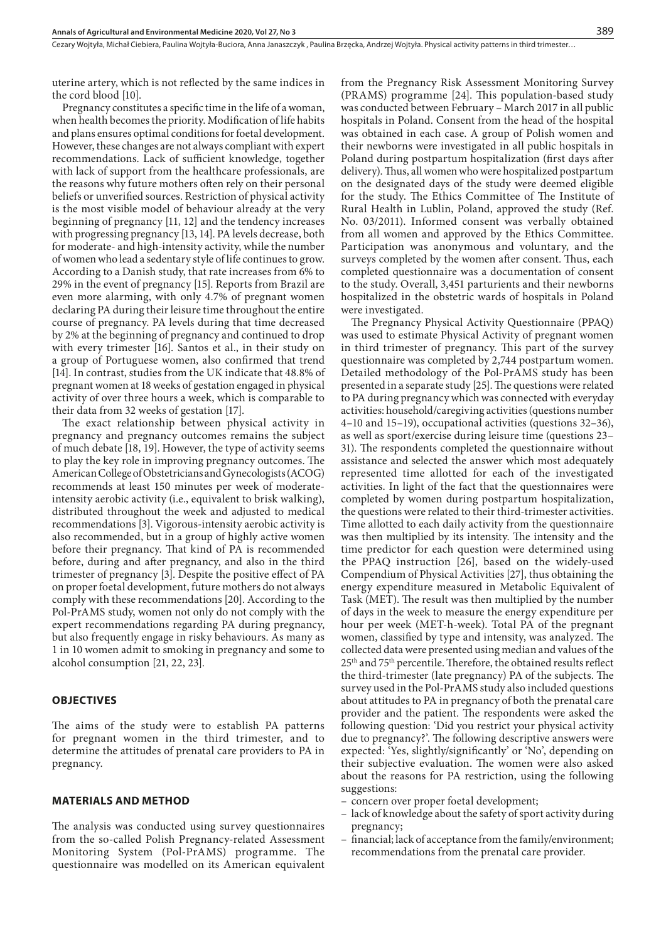uterine artery, which is not reflected by the same indices in the cord blood [10].

Pregnancy constitutes a specific time in the life of a woman, when health becomes the priority. Modification of life habits and plans ensures optimal conditions for foetal development. However, these changes are not always compliant with expert recommendations. Lack of sufficient knowledge, together with lack of support from the healthcare professionals, are the reasons why future mothers often rely on their personal beliefs or unverified sources. Restriction of physical activity is the most visible model of behaviour already at the very beginning of pregnancy [11, 12] and the tendency increases with progressing pregnancy [13, 14]. PA levels decrease, both for moderate- and high-intensity activity, while the number of women who lead a sedentary style of life continues to grow. According to a Danish study, that rate increases from 6% to 29% in the event of pregnancy [15]. Reports from Brazil are even more alarming, with only 4.7% of pregnant women declaring PA during their leisure time throughout the entire course of pregnancy. PA levels during that time decreased by 2% at the beginning of pregnancy and continued to drop with every trimester [16]. Santos et al., in their study on a group of Portuguese women, also confirmed that trend [14]. In contrast, studies from the UK indicate that 48.8% of pregnant women at 18 weeks of gestation engaged in physical activity of over three hours a week, which is comparable to their data from 32 weeks of gestation [17].

The exact relationship between physical activity in pregnancy and pregnancy outcomes remains the subject of much debate [18, 19]. However, the type of activity seems to play the key role in improving pregnancy outcomes. The American College of Obstetricians and Gynecologists (ACOG) recommends at least 150 minutes per week of moderateintensity aerobic activity (i.e., equivalent to brisk walking), distributed throughout the week and adjusted to medical recommendations [3]. Vigorous-intensity aerobic activity is also recommended, but in a group of highly active women before their pregnancy. That kind of PA is recommended before, during and after pregnancy, and also in the third trimester of pregnancy [3]. Despite the positive effect of PA on proper foetal development, future mothers do not always comply with these recommendations [20]. According to the Pol-PrAMS study, women not only do not comply with the expert recommendations regarding PA during pregnancy, but also frequently engage in risky behaviours. As many as 1 in 10 women admit to smoking in pregnancy and some to alcohol consumption [21, 22, 23].

#### **OBJECTIVES**

The aims of the study were to establish PA patterns for pregnant women in the third trimester, and to determine the attitudes of prenatal care providers to PA in pregnancy.

#### **MATERIALS AND METHOD**

The analysis was conducted using survey questionnaires from the so-called Polish Pregnancy-related Assessment Monitoring System (Pol-PrAMS) programme. The questionnaire was modelled on its American equivalent

from the Pregnancy Risk Assessment Monitoring Survey (PRAMS) programme [24]. This population-based study was conducted between February – March 2017 in all public hospitals in Poland. Consent from the head of the hospital was obtained in each case. A group of Polish women and their newborns were investigated in all public hospitals in Poland during postpartum hospitalization (first days after delivery). Thus, all women who were hospitalized postpartum on the designated days of the study were deemed eligible for the study. The Ethics Committee of The Institute of Rural Health in Lublin, Poland, approved the study (Ref. No. 03/2011). Informed consent was verbally obtained from all women and approved by the Ethics Committee. Participation was anonymous and voluntary, and the surveys completed by the women after consent. Thus, each completed questionnaire was a documentation of consent to the study. Overall, 3,451 parturients and their newborns hospitalized in the obstetric wards of hospitals in Poland were investigated.

The Pregnancy Physical Activity Questionnaire (PPAQ) was used to estimate Physical Activity of pregnant women in third trimester of pregnancy. This part of the survey questionnaire was completed by 2,744 postpartum women. Detailed methodology of the Pol-PrAMS study has been presented in a separate study [25]. The questions were related to PA during pregnancy which was connected with everyday activities: household/caregiving activities (questions number 4–10 and 15–19), occupational activities (questions 32–36), as well as sport/exercise during leisure time (questions 23– 31). The respondents completed the questionnaire without assistance and selected the answer which most adequately represented time allotted for each of the investigated activities. In light of the fact that the questionnaires were completed by women during postpartum hospitalization, the questions were related to their third-trimester activities. Time allotted to each daily activity from the questionnaire was then multiplied by its intensity. The intensity and the time predictor for each question were determined using the PPAQ instruction [26], based on the widely-used Compendium of Physical Activities [27], thus obtaining the energy expenditure measured in Metabolic Equivalent of Task (MET). The result was then multiplied by the number of days in the week to measure the energy expenditure per hour per week (MET-h-week). Total PA of the pregnant women, classified by type and intensity, was analyzed. The collected data were presented using median and values of the 25th and 75th percentile. Therefore, the obtained results reflect the third-trimester (late pregnancy) PA of the subjects. The survey used in the Pol-PrAMS study also included questions about attitudes to PA in pregnancy of both the prenatal care provider and the patient. The respondents were asked the following question: 'Did you restrict your physical activity due to pregnancy?'. The following descriptive answers were expected: 'Yes, slightly/significantly' or 'No', depending on their subjective evaluation. The women were also asked about the reasons for PA restriction, using the following suggestions:

- concern over proper foetal development;
- lack of knowledge about the safety of sport activity during pregnancy;
- financial; lack of acceptance from the family/environment; recommendations from the prenatal care provider.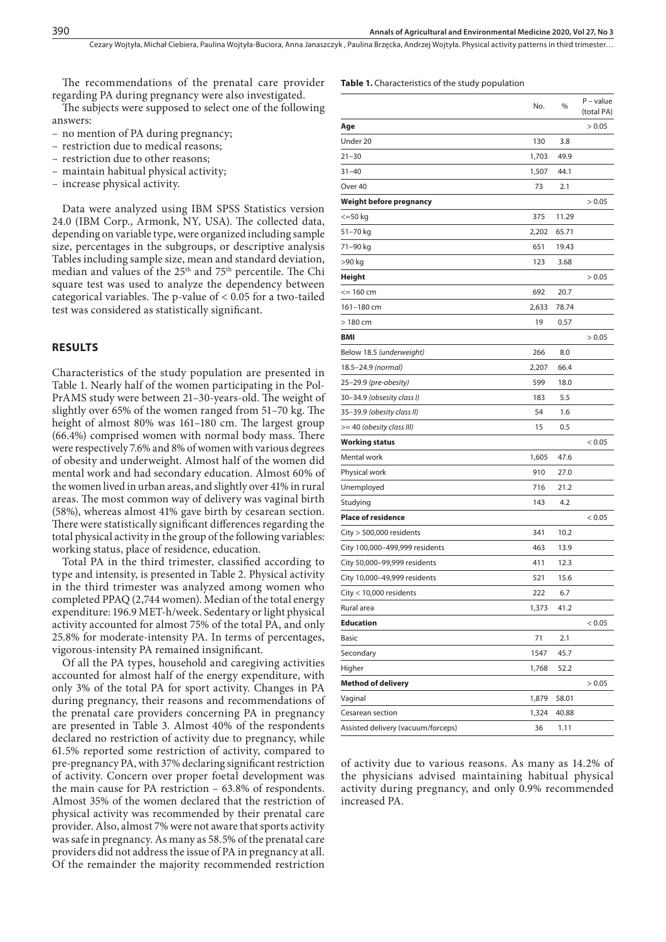Cezary Wojtyła, Michał Ciebiera, Paulina Wojtyła-Buciora, Anna Janaszczyk , Paulina Brzęcka, Andrzej Wojtyła . Physical activity patterns in third trimester…

The recommendations of the prenatal care provider regarding PA during pregnancy were also investigated.

The subjects were supposed to select one of the following answers:

- no mention of PA during pregnancy;
- restriction due to medical reasons;
- restriction due to other reasons;
- maintain habitual physical activity;
- increase physical activity.

Data were analyzed using IBM SPSS Statistics version 24.0 (IBM Corp., Armonk, NY, USA). The collected data, depending on variable type, were organized including sample size, percentages in the subgroups, or descriptive analysis Tables including sample size, mean and standard deviation, median and values of the 25th and 75th percentile. The Chi square test was used to analyze the dependency between categorical variables. The p-value of  $< 0.05$  for a two-tailed test was considered as statistically significant.

#### **RESULTS**

Characteristics of the study population are presented in Table 1. Nearly half of the women participating in the Pol-PrAMS study were between 21–30-years-old. The weight of slightly over 65% of the women ranged from 51–70 kg. The height of almost 80% was 161-180 cm. The largest group (66.4%) comprised women with normal body mass. There were respectively 7.6% and 8% of women with various degrees of obesity and underweight. Almost half of the women did mental work and had secondary education. Almost 60% of the women lived in urban areas, and slightly over 41% in rural areas. The most common way of delivery was vaginal birth (58%), whereas almost 41% gave birth by cesarean section. There were statistically significant differences regarding the total physical activity in the group of the following variables: working status, place of residence, education.

Total PA in the third trimester, classified according to type and intensity, is presented in Table 2. Physical activity in the third trimester was analyzed among women who completed PPAQ (2,744 women). Median of the total energy expenditure: 196.9 MET-h/week. Sedentary or light physical activity accounted for almost 75% of the total PA, and only 25.8% for moderate-intensity PA. In terms of percentages, vigorous-intensity PA remained insignificant.

Of all the PA types, household and caregiving activities accounted for almost half of the energy expenditure, with only 3% of the total PA for sport activity. Changes in PA during pregnancy, their reasons and recommendations of the prenatal care providers concerning PA in pregnancy are presented in Table 3. Almost 40% of the respondents declared no restriction of activity due to pregnancy, while 61.5% reported some restriction of activity, compared to pre-pregnancy PA, with 37% declaring significant restriction of activity. Concern over proper foetal development was the main cause for PA restriction – 63.8% of respondents. Almost 35% of the women declared that the restriction of physical activity was recommended by their prenatal care provider. Also, almost 7% were not aware that sports activity was safe in pregnancy. As many as 58.5% of the prenatal care providers did not address the issue of PA in pregnancy at all. Of the remainder the majority recommended restriction

#### **Table 1.** Characteristics of the study population

|                                    | No.   | %     | $P$ – value<br>(total PA) |
|------------------------------------|-------|-------|---------------------------|
| Age                                |       |       | > 0.05                    |
| Under 20                           | 130   | 3.8   |                           |
| $21 - 30$                          | 1,703 | 49.9  |                           |
| $31 - 40$                          | 1,507 | 44.1  |                           |
| Over 40                            | 73    | 2.1   |                           |
| Weight before pregnancy            |       |       | > 0.05                    |
| $<=$ 50 $kg$                       | 375   | 11.29 |                           |
| 51–70 kg                           | 2,202 | 65.71 |                           |
| 71–90 kg                           | 651   | 19.43 |                           |
| >90 kg                             | 123   | 3.68  |                           |
| Height                             |       |       | > 0.05                    |
| <= 160 cm                          | 692   | 20.7  |                           |
| 161-180 cm                         | 2,633 | 78.74 |                           |
| $>180$ cm                          | 19    | 0.57  |                           |
| BMI                                |       |       | > 0.05                    |
| Below 18.5 (underweight)           | 266   | 8.0   |                           |
| 18.5-24.9 (normal)                 | 2,207 | 66.4  |                           |
| 25–29.9 (pre-obesity)              | 599   | 18.0  |                           |
| 30-34.9 (obsesity class I)         | 183   | 5.5   |                           |
| 35–39.9 (obesity class II)         | 54    | 1.6   |                           |
| >= 40 (obesity class III)          | 15    | 0.5   |                           |
| Working status                     |       |       | < 0.05                    |
| Mental work                        | 1,605 | 47.6  |                           |
| Physical work                      | 910   | 27.0  |                           |
| Unemployed                         | 716   | 21.2  |                           |
| Studying                           | 143   | 4.2   |                           |
| <b>Place of residence</b>          |       |       | < 0.05                    |
| $City > 500,000$ residents         | 341   | 10.2  |                           |
| City 100,000-499,999 residents     | 463   | 13.9  |                           |
| City 50,000-99,999 residents       | 411   | 12.3  |                           |
| City 10,000–49,999 residents       | 521   | 15.6  |                           |
| City < 10,000 residents            | 222   | 6.7   |                           |
| Rural area                         | 1,373 | 41.2  |                           |
| Education                          |       |       | < 0.05                    |
| Basic                              | 71    | 2.1   |                           |
| Secondary                          | 1547  | 45.7  |                           |
| Higher                             | 1,768 | 52.2  |                           |
| Method of delivery                 |       |       | > 0.05                    |
| Vaginal                            | 1,879 | 58.01 |                           |
| Cesarean section                   | 1,324 | 40.88 |                           |
| Assisted delivery (vacuum/forceps) | 36    | 1.11  |                           |

of activity due to various reasons. As many as 14.2% of the physicians advised maintaining habitual physical activity during pregnancy, and only 0.9% recommended increased PA.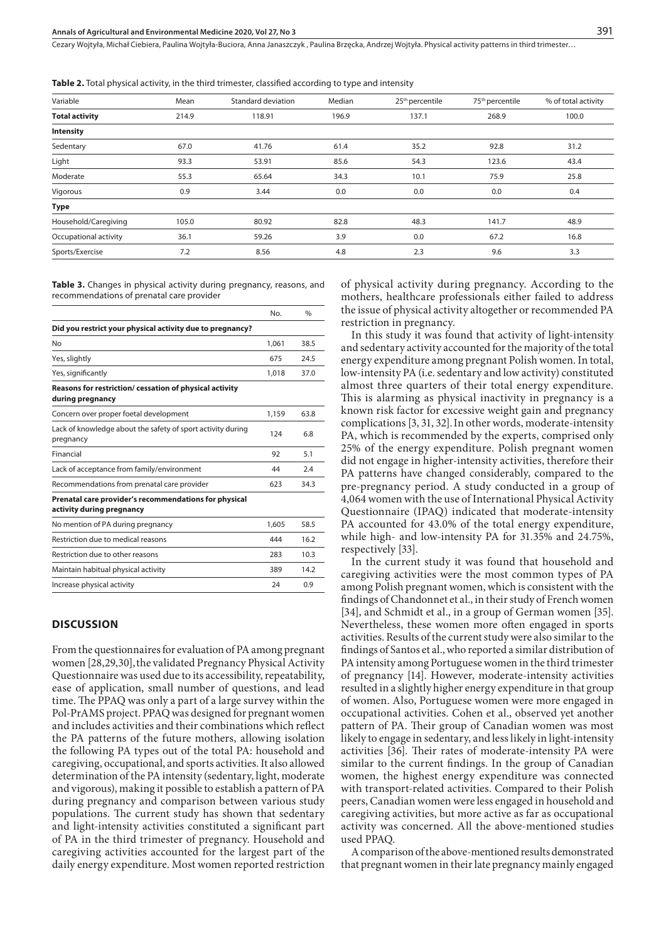Cezary Wojtyła, Michał Ciebiera, Paulina Wojtyła-Buciora, Anna Janaszczyk , Paulina Brzęcka, Andrzej Wojtyła . Physical activity patterns in third trimester…

**Table 2.** Total physical activity, in the third trimester, classified according to type and intensity

| Variable              | Mean  | Standard deviation | Median | 25 <sup>th</sup> percentile | 75 <sup>th</sup> percentile | % of total activity |
|-----------------------|-------|--------------------|--------|-----------------------------|-----------------------------|---------------------|
| <b>Total activity</b> | 214.9 | 118.91             | 196.9  | 137.1                       | 268.9                       | 100.0               |
| Intensity             |       |                    |        |                             |                             |                     |
| Sedentary             | 67.0  | 41.76              | 61.4   | 35.2                        | 92.8                        | 31.2                |
| Light                 | 93.3  | 53.91              | 85.6   | 54.3                        | 123.6                       | 43.4                |
| Moderate              | 55.3  | 65.64              | 34.3   | 10.1                        | 75.9                        | 25.8                |
| Vigorous              | 0.9   | 3.44               | 0.0    | 0.0                         | 0.0                         | 0.4                 |
| <b>Type</b>           |       |                    |        |                             |                             |                     |
| Household/Caregiving  | 105.0 | 80.92              | 82.8   | 48.3                        | 141.7                       | 48.9                |
| Occupational activity | 36.1  | 59.26              | 3.9    | 0.0                         | 67.2                        | 16.8                |
| Sports/Exercise       | 7.2   | 8.56               | 4.8    | 2.3                         | 9.6                         | 3.3                 |

**Table 3.** Changes in physical activity during pregnancy, reasons, and recommendations of prenatal care provider

|                                                                                    | No.   | $\frac{0}{0}$ |
|------------------------------------------------------------------------------------|-------|---------------|
| Did you restrict your physical activity due to pregnancy?                          |       |               |
| No                                                                                 | 1,061 | 38.5          |
| Yes, slightly                                                                      | 675   | 24.5          |
| Yes, significantly                                                                 | 1,018 | 37.0          |
| Reasons for restriction/ cessation of physical activity<br>during pregnancy        |       |               |
| Concern over proper foetal development                                             | 1,159 | 63.8          |
| Lack of knowledge about the safety of sport activity during<br>pregnancy           | 124   | 6.8           |
| Financial                                                                          | 92    | 5.1           |
| Lack of acceptance from family/environment                                         | 44    | 2.4           |
| Recommendations from prenatal care provider                                        | 623   | 34.3          |
| Prenatal care provider's recommendations for physical<br>activity during pregnancy |       |               |
| No mention of PA during pregnancy                                                  | 1.605 | 58.5          |
| Restriction due to medical reasons                                                 | 444   | 16.2          |
| Restriction due to other reasons                                                   | 283   | 10.3          |
| Maintain habitual physical activity                                                | 389   | 14.2          |
| Increase physical activity                                                         | 24    | 0.9           |
|                                                                                    |       |               |

#### **DISCUSSION**

From the questionnaires for evaluation of PA among pregnant women [28,29,30], the validated Pregnancy Physical Activity Questionnaire was used due to its accessibility, repeatability, ease of application, small number of questions, and lead time. The PPAQ was only a part of a large survey within the Pol-PrAMS project. PPAQ was designed for pregnant women and includes activities and their combinations which reflect the PA patterns of the future mothers, allowing isolation the following PA types out of the total PA: household and caregiving, occupational, and sports activities. It also allowed determination of the PA intensity (sedentary, light, moderate and vigorous), making it possible to establish a pattern of PA during pregnancy and comparison between various study populations. The current study has shown that sedentary and light-intensity activities constituted a significant part of PA in the third trimester of pregnancy. Household and caregiving activities accounted for the largest part of the daily energy expenditure. Most women reported restriction of physical activity during pregnancy. According to the mothers, healthcare professionals either failed to address the issue of physical activity altogether or recommended PA restriction in pregnancy.

In this study it was found that activity of light-intensity and sedentary activity accounted for the majority of the total energy expenditure among pregnant Polish women. In total, low-intensity PA (i.e. sedentary and low activity) constituted almost three quarters of their total energy expenditure. This is alarming as physical inactivity in pregnancy is a known risk factor for excessive weight gain and pregnancy complications [3, 31, 32].In other words, moderate-intensity PA, which is recommended by the experts, comprised only 25% of the energy expenditure. Polish pregnant women did not engage in higher-intensity activities, therefore their PA patterns have changed considerably, compared to the pre-pregnancy period. A study conducted in a group of 4,064 women with the use of International Physical Activity Questionnaire (IPAQ) indicated that moderate-intensity PA accounted for 43.0% of the total energy expenditure, while high- and low-intensity PA for 31.35% and 24.75%, respectively [33].

In the current study it was found that household and caregiving activities were the most common types of PA among Polish pregnant women, which is consistent with the findings of Chandonnet et al., in their study of French women [34], and Schmidt et al., in a group of German women [35]. Nevertheless, these women more often engaged in sports activities. Results of the current study were also similar to the findings of Santos et al., who reported a similar distribution of PA intensity among Portuguese women in the third trimester of pregnancy [14]. However, moderate-intensity activities resulted in a slightly higher energy expenditure in that group of women. Also, Portuguese women were more engaged in occupational activities. Cohen et al., observed yet another pattern of PA. Their group of Canadian women was most likely to engage in sedentary, and less likely in light-intensity activities [36]. Their rates of moderate-intensity PA were similar to the current findings. In the group of Canadian women, the highest energy expenditure was connected with transport-related activities. Compared to their Polish peers, Canadian women were less engaged in household and caregiving activities, but more active as far as occupational activity was concerned. All the above-mentioned studies used PPAQ.

A comparison of the above-mentioned results demonstrated that pregnant women in their late pregnancy mainly engaged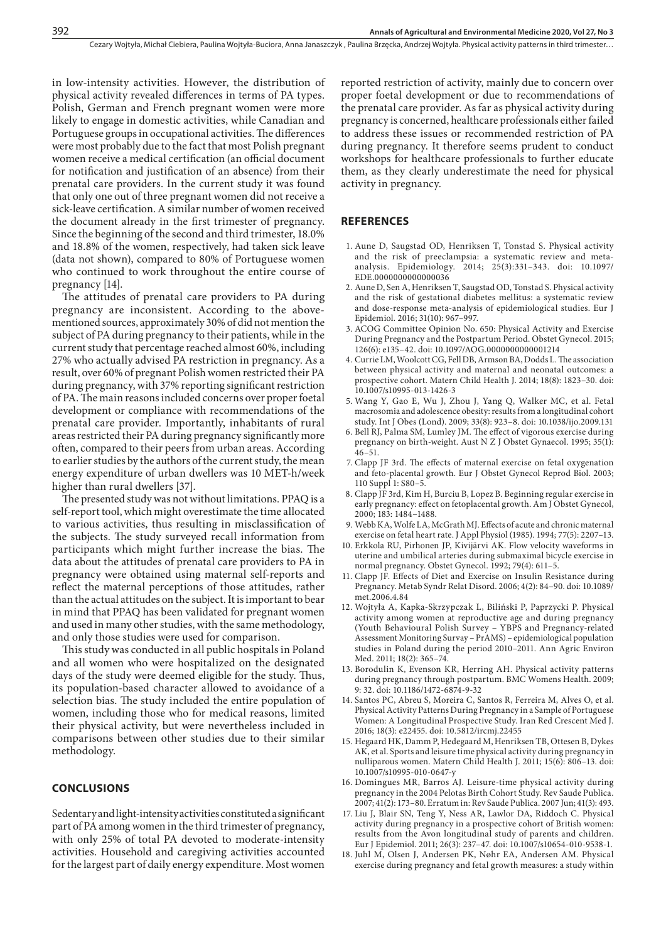in low-intensity activities. However, the distribution of physical activity revealed differences in terms of PA types. Polish, German and French pregnant women were more likely to engage in domestic activities, while Canadian and Portuguese groups in occupational activities. The differences were most probably due to the fact that most Polish pregnant women receive a medical certification (an official document for notification and justification of an absence) from their prenatal care providers. In the current study it was found that only one out of three pregnant women did not receive a sick-leave certification. A similar number of women received the document already in the first trimester of pregnancy. Since the beginning of the second and third trimester, 18.0% and 18.8% of the women, respectively, had taken sick leave (data not shown), compared to 80% of Portuguese women who continued to work throughout the entire course of pregnancy [14].

The attitudes of prenatal care providers to PA during pregnancy are inconsistent. According to the abovementioned sources, approximately 30% of did not mention the subject of PA during pregnancy to their patients, while in the current study that percentage reached almost 60%, including 27% who actually advised PA restriction in pregnancy. As a result, over 60% of pregnant Polish women restricted their PA during pregnancy, with 37% reporting significant restriction of PA. The main reasons included concerns over proper foetal development or compliance with recommendations of the prenatal care provider. Importantly, inhabitants of rural areas restricted their PA during pregnancy significantly more often, compared to their peers from urban areas. According to earlier studies by the authors of the current study, the mean energy expenditure of urban dwellers was 10 MET-h/week higher than rural dwellers [37].

The presented study was not without limitations. PPAQ is a self-report tool, which might overestimate the time allocated to various activities, thus resulting in misclassification of the subjects. The study surveyed recall information from participants which might further increase the bias. The data about the attitudes of prenatal care providers to PA in pregnancy were obtained using maternal self-reports and reflect the maternal perceptions of those attitudes, rather than the actual attitudes on the subject. It is important to bear in mind that PPAQ has been validated for pregnant women and used in many other studies, with the same methodology, and only those studies were used for comparison.

This study was conducted in all public hospitals in Poland and all women who were hospitalized on the designated days of the study were deemed eligible for the study. Thus, its population-based character allowed to avoidance of a selection bias. The study included the entire population of women, including those who for medical reasons, limited their physical activity, but were nevertheless included in comparisons between other studies due to their similar methodology.

#### **CONCLUSIONS**

Sedentary and light-intensity activities constituted a significant part of PA among women in the third trimester of pregnancy, with only 25% of total PA devoted to moderate-intensity activities. Household and caregiving activities accounted for the largest part of daily energy expenditure. Most women reported restriction of activity, mainly due to concern over proper foetal development or due to recommendations of the prenatal care provider. As far as physical activity during pregnancy is concerned, healthcare professionals either failed to address these issues or recommended restriction of PA during pregnancy. It therefore seems prudent to conduct workshops for healthcare professionals to further educate them, as they clearly underestimate the need for physical activity in pregnancy.

#### **REFERENCES**

- 1. Aune D, Saugstad OD, Henriksen T, Tonstad S. Physical activity and the risk of preeclampsia: a systematic review and metaanalysis. Epidemiology. 2014; 25(3):331–343. doi: 10.1097/ EDE.0000000000000036
- 2. Aune D, Sen A, Henriksen T, Saugstad OD, Tonstad S. Physical activity and the risk of gestational diabetes mellitus: a systematic review and dose-response meta-analysis of epidemiological studies. Eur J Epidemiol. 2016; 31(10): 967–997.
- 3. ACOG Committee Opinion No. 650: Physical Activity and Exercise During Pregnancy and the Postpartum Period. Obstet Gynecol. 2015; 126(6): e135–42. doi: 10.1097/AOG.0000000000001214
- 4. Currie LM, Woolcott CG, Fell DB, Armson BA, Dodds L. The association between physical activity and maternal and neonatal outcomes: a prospective cohort. Matern Child Health J. 2014; 18(8): 1823–30. doi: 10.1007/s10995-013-1426-3
- 5. Wang Y, Gao E, Wu J, Zhou J, Yang Q, Walker MC, et al. Fetal macrosomia and adolescence obesity: results from a longitudinal cohort study. Int J Obes (Lond). 2009; 33(8): 923–8. doi: 10.1038/ijo.2009.131
- 6. Bell RJ, Palma SM, Lumley JM. The effect of vigorous exercise during pregnancy on birth-weight. Aust N Z J Obstet Gynaecol. 1995; 35(1): 46–51.
- 7. Clapp JF 3rd. The effects of maternal exercise on fetal oxygenation and feto-placental growth. Eur J Obstet Gynecol Reprod Biol. 2003; 110 Suppl 1: S80–5.
- 8. Clapp JF 3rd, Kim H, Burciu B, Lopez B. Beginning regular exercise in early pregnancy: effect on fetoplacental growth. Am J Obstet Gynecol, 2000; 183: 1484–1488.
- 9. Webb KA, Wolfe LA, McGrath MJ. Effects of acute and chronic maternal exercise on fetal heart rate. J Appl Physiol (1985). 1994; 77(5): 2207–13.
- 10. Erkkola RU, Pirhonen JP, Kivijärvi AK. Flow velocity waveforms in uterine and umbilical arteries during submaximal bicycle exercise in normal pregnancy. Obstet Gynecol. 1992; 79(4): 611–5.
- 11. Clapp JF. Effects of Diet and Exercise on Insulin Resistance during Pregnancy. Metab Syndr Relat Disord. 2006; 4(2): 84–90. doi: 10.1089/ met.2006.4.84
- 12. Wojtyła A, Kapka-Skrzypczak L, Biliński P, Paprzycki P. Physical activity among women at reproductive age and during pregnancy (Youth Behavioural Polish Survey – YBPS and Pregnancy-related Assessment Monitoring Survay – PrAMS) – epidemiological population studies in Poland during the period 2010–2011. Ann Agric Environ Med. 2011; 18(2): 365–74.
- 13. Borodulin K, Evenson KR, Herring AH. Physical activity patterns during pregnancy through postpartum. BMC Womens Health. 2009; 9: 32. doi: 10.1186/1472-6874-9-32
- 14. Santos PC, Abreu S, Moreira C, Santos R, Ferreira M, Alves O, et al. Physical Activity Patterns During Pregnancy in a Sample of Portuguese Women: A Longitudinal Prospective Study. Iran Red Crescent Med J. 2016; 18(3): e22455. doi: 10.5812/ircmj.22455
- 15. Hegaard HK, Damm P, Hedegaard M, Henriksen TB, Ottesen B, Dykes AK, et al. Sports and leisure time physical activity during pregnancy in nulliparous women. Matern Child Health J. 2011; 15(6): 806–13. doi: 10.1007/s10995-010-0647-y
- 16. Domingues MR, Barros AJ. Leisure-time physical activity during pregnancy in the 2004 Pelotas Birth Cohort Study. Rev Saude Publica. 2007; 41(2): 173–80. Erratum in: Rev Saude Publica. 2007 Jun; 41(3): 493.
- 17. Liu J, Blair SN, Teng Y, Ness AR, Lawlor DA, Riddoch C. Physical activity during pregnancy in a prospective cohort of British women: results from the Avon longitudinal study of parents and children. Eur J Epidemiol. 2011; 26(3): 237–47. doi: 10.1007/s10654-010-9538-1.
- 18. Juhl M, Olsen J, Andersen PK, Nøhr EA, Andersen AM. Physical exercise during pregnancy and fetal growth measures: a study within